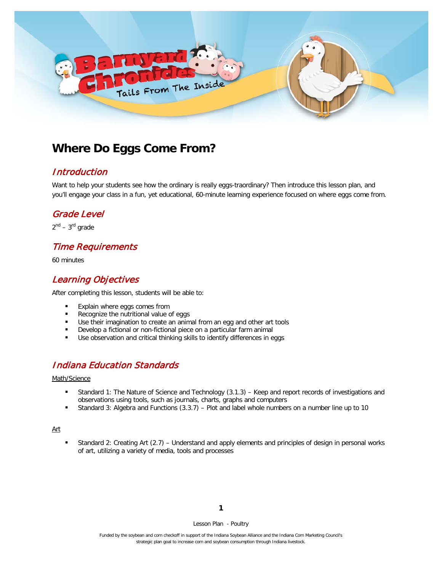

# **Where Do Eggs Come From?**

### Introduction

Want to help your students see how the ordinary is really eggs-traordinary? Then introduce this lesson plan, and you'll engage your class in a fun, yet educational, 60-minute learning experience focused on where eggs come from.

### Grade Level

 $2^{nd}$  –  $3^{rd}$  grade

# Time Requirements

60 minutes

# Learning Objectives

After completing this lesson, students will be able to:

- **Explain where eggs comes from**
- Recognize the nutritional value of eggs
- Use their imagination to create an animal from an egg and other art tools
- Develop a fictional or non-fictional piece on a particular farm animal
- Use observation and critical thinking skills to identify differences in eggs

### Indiana Education Standards

#### Math/Science

- Standard 1: The Nature of Science and Technology (3.1.3) Keep and report records of investigations and observations using tools, such as journals, charts, graphs and computers
- Standard 3: Algebra and Functions (3.3.7) Plot and label whole numbers on a number line up to 10

#### Art

 Standard 2: Creating Art (2.7) – Understand and apply elements and principles of design in personal works of art, utilizing a variety of media, tools and processes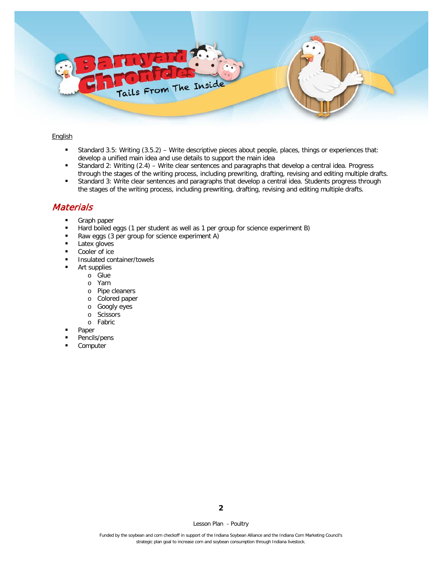

#### **English**

- Standard 3.5: Writing (3.5.2) Write descriptive pieces about people, places, things or experiences that: develop a unified main idea and use details to support the main idea
- Standard 2: Writing (2.4) Write clear sentences and paragraphs that develop a central idea. Progress through the stages of the writing process, including prewriting, drafting, revising and editing multiple drafts.
- Standard 3: Write clear sentences and paragraphs that develop a central idea. Students progress through the stages of the writing process, including prewriting, drafting, revising and editing multiple drafts.

### **Materials**

- **Graph paper**
- Hard boiled eggs (1 per student as well as 1 per group for science experiment B)
- Raw eggs (3 per group for science experiment A)
- **Latex gloves**
- Cooler of ice
- **Insulated container/towels**
- **Art supplies** 
	- o Glue
	- o Yarn
	- o Pipe cleaners
	- o Colored paper
	- o Googly eyes
	- o Scissors
	- o Fabric
	- Paper
- Pencils/pens
- **Computer**

**2**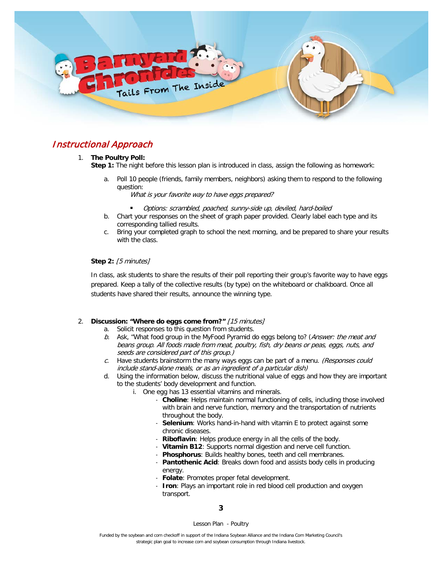

### Instructional Approach

#### 1. **The Poultry Poll:**

**Step 1:** The night before this lesson plan is introduced in class, assign the following as homework:

a. Poll 10 people (friends, family members, neighbors) asking them to respond to the following question:

What is your favorite way to have eggs prepared?

- Options: scrambled, poached, sunny-side up, deviled, hard-boiled
- b. Chart your responses on the sheet of graph paper provided. Clearly label each type and its corresponding tallied results.
- c. Bring your completed graph to school the next morning, and be prepared to share your results with the class.

#### **Step 2:** [5 minutes]

In class, ask students to share the results of their poll reporting their group's favorite way to have eggs prepared. Keep a tally of the collective results (by type) on the whiteboard or chalkboard. Once all students have shared their results, announce the winning type.

#### 2. **Discussion: "Where do eggs come from?"** [15 minutes]

- a. Solicit responses to this question from students.
- b. Ask, "What food group in the MyFood Pyramid do eggs belong to? (Answer: the meat and beans group. All foods made from meat, poultry, fish, dry beans or peas, eggs, nuts, and seeds are considered part of this group.)
- c. Have students brainstorm the many ways eggs can be part of a menu. (Responses could include stand-alone meals, or as an ingredient of a particular dish)
- d. Using the information below, discuss the nutritional value of eggs and how they are important to the students' body development and function.
	- i. One egg has 13 essential vitamins and minerals.
		- **Choline**: Helps maintain normal functioning of cells, including those involved with brain and nerve function, memory and the transportation of nutrients throughout the body.
		- Selenium: Works hand-in-hand with vitamin E to protect against some chronic diseases.
		- **Riboflavin**: Helps produce energy in all the cells of the body.
		- **Vitamin B12**: Supports normal digestion and nerve cell function.
		- **Phosphorus:** Builds healthy bones, teeth and cell membranes.
		- **Pantothenic Acid**: Breaks down food and assists body cells in producing energy.
		- **Folate**: Promotes proper fetal development.
		- **Iron**: Plays an important role in red blood cell production and oxygen transport.

**3**

Lesson Plan - Poultry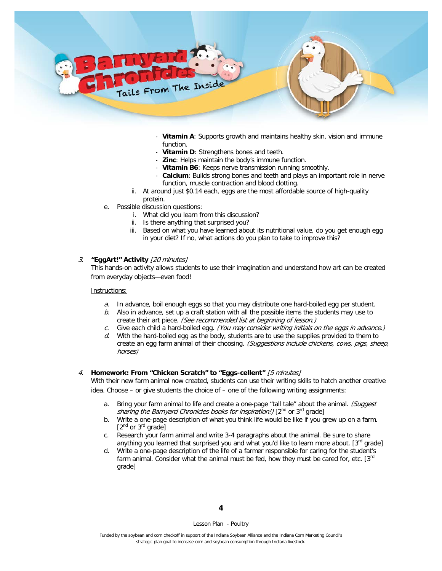

- **Vitamin A**: Supports growth and maintains healthy skin, vision and immune function.
- **Vitamin D:** Strengthens bones and teeth.
- **Zinc:** Helps maintain the body's immune function.
- **Vitamin B6**: Keeps nerve transmission running smoothly.
- Calcium: Builds strong bones and teeth and plays an important role in nerve function, muscle contraction and blood clotting.
- ii. At around just \$0.14 each, eggs are the most affordable source of high-quality protein.
- e. Possible discussion questions:
	- i. What did you learn from this discussion?
	- ii. Is there anything that surprised you?
	- iii. Based on what you have learned about its nutritional value, do you get enough egg in your diet? If no, what actions do you plan to take to improve this?

#### 3. **"EggArt!" Activity** [20 minutes]

This hands-on activity allows students to use their imagination and understand how art can be created from everyday objects—even food!

#### Instructions:

- $a.$  In advance, boil enough eggs so that you may distribute one hard-boiled egg per student.
- b. Also in advance, set up a craft station with all the possible items the students may use to create their art piece. (See recommended list at beginning of lesson.)
- c. Give each child a hard-boiled egg. (You may consider writing initials on the eggs in advance.)
- $d.$  With the hard-boiled egg as the body, students are to use the supplies provided to them to create an egg farm animal of their choosing. (Suggestions include chickens, cows, pigs, sheep, horses)

#### 4. **Homework: From "Chicken Scratch" to "Eggs-cellent"** [5 minutes]

With their new farm animal now created, students can use their writing skills to hatch another creative idea. Choose – or give students the choice of – one of the following writing assignments:

- a. Bring your farm animal to life and create a one-page "tall tale" about the animal. (Suggest sharing the Barnyard Chronicles books for inspiration!) [2<sup>nd</sup> or 3<sup>rd</sup> grade]
- b. Write a one-page description of what you think life would be like if you grew up on a farm.  $[2^{nd}$  or  $3^{rd}$  grade]
- c. Research your farm animal and write 3-4 paragraphs about the animal. Be sure to share anything you learned that surprised you and what you'd like to learn more about. [3<sup>rd</sup> grade]
- d. Write a one-page description of the life of a farmer responsible for caring for the student's farm animal. Consider what the animal must be fed, how they must be cared for, etc.  $[3<sup>rd</sup>]$ grade]